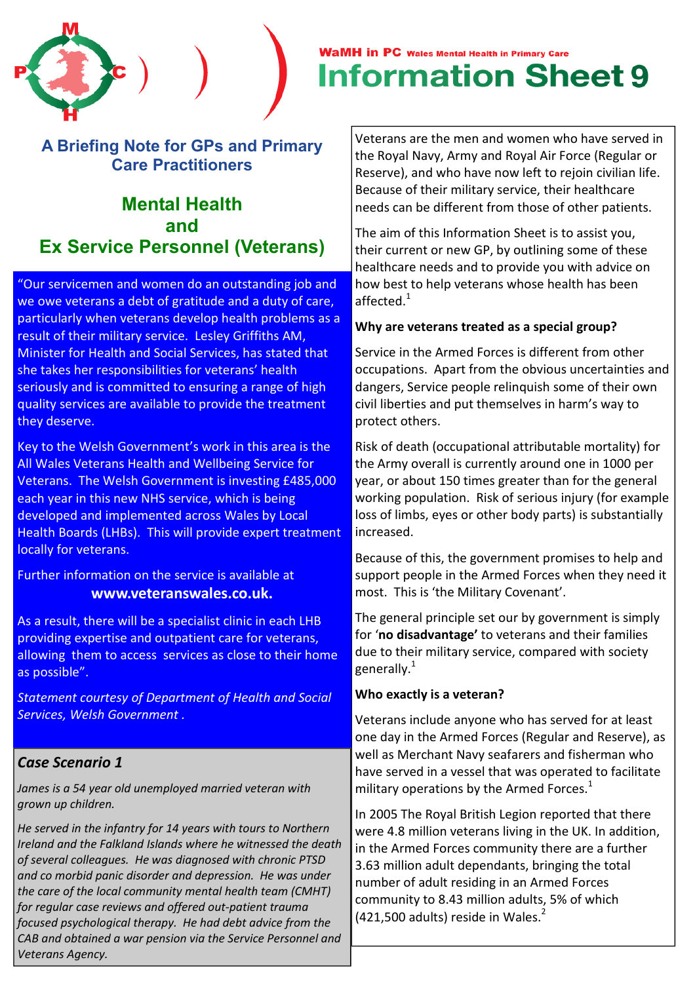# A Briefing Note for GPs and Primary Care Practitioners

# Mental Health and Ex Service Personnel (Veterans)

"Our servicemen and women do an outstanding job and we owe veterans a debt of gratitude and a duty of care. particularly when veterans develop health problems as a result of their military service. Lesley Griffiths AM, Minister for Health and Social Services, has stated that she takes her responsibilities for veterans' health seriously and is committed to ensuring a range of high quality services are available to provide the treatment they deserve.

Key to the Welsh Government's work in this area is the All Wales Veterans Health and Wellbeing Service for Veterans. The Welsh Government is investing £485,000 each year in this new NHS service, which is being developed and implemented across Wales by Local Health Boards (LHBs). This will provide expert treatment locally for veterans.

Further information on the service is available at www.veteranswales.co.uk.

As a result, there will be a specialist clinic in each LHB providing expertise and outpatient care for veterans, allowing them to access services as close to their home as possible".

Statement courtesy of Department of Health and Social Services, Welsh Government .

# Case Scenario 1

James is a 54 year old unemployed married veteran with grown up children.

He served in the infantry for 14 years with tours to Northern Ireland and the Falkland Islands where he witnessed the death of several colleagues. He was diagnosed with chronic PTSD and co morbid panic disorder and depression. He was under the care of the local community mental health team (CMHT) for regular case reviews and offered out-patient trauma focused psychological therapy. He had debt advice from the CAB and obtained a war pension via the Service Personnel and Veterans Agency.

# **WaMH in PC** Wales Mental Health in Primary Care **Information Sheet 9**

Veterans are the men and women who have served in the Royal Navy, Army and Royal Air Force (Regular or Reserve), and who have now left to rejoin civilian life. Because of their military service, their healthcare needs can be different from those of other patients.

The aim of this Information Sheet is to assist you, their current or new GP, by outlining some of these healthcare needs and to provide you with advice on how best to help veterans whose health has been affected.<sup>1</sup>

#### Why are veterans treated as a special group?

Service in the Armed Forces is different from other occupations. Apart from the obvious uncertainties and dangers, Service people relinquish some of their own civil liberties and put themselves in harm's way to protect others.

Risk of death (occupational attributable mortality) for the Army overall is currently around one in 1000 per year, or about 150 times greater than for the general working population. Risk of serious injury (for example loss of limbs, eyes or other body parts) is substantially increased.

Because of this, the government promises to help and support people in the Armed Forces when they need it most. This is 'the Military Covenant'.

The general principle set our by government is simply for 'no disadvantage' to veterans and their families due to their military service, compared with society generally. $1$ 

#### Who exactly is a veteran?

Veterans include anyone who has served for at least one day in the Armed Forces (Regular and Reserve), as well as Merchant Navy seafarers and fisherman who have served in a vessel that was operated to facilitate military operations by the Armed Forces. $1$ 

In 2005 The Royal British Legion reported that there were 4.8 million veterans living in the UK. In addition, in the Armed Forces community there are a further 3.63 million adult dependants, bringing the total number of adult residing in an Armed Forces community to 8.43 million adults, 5% of which  $(421,500$  adults) reside in Wales.<sup>2</sup>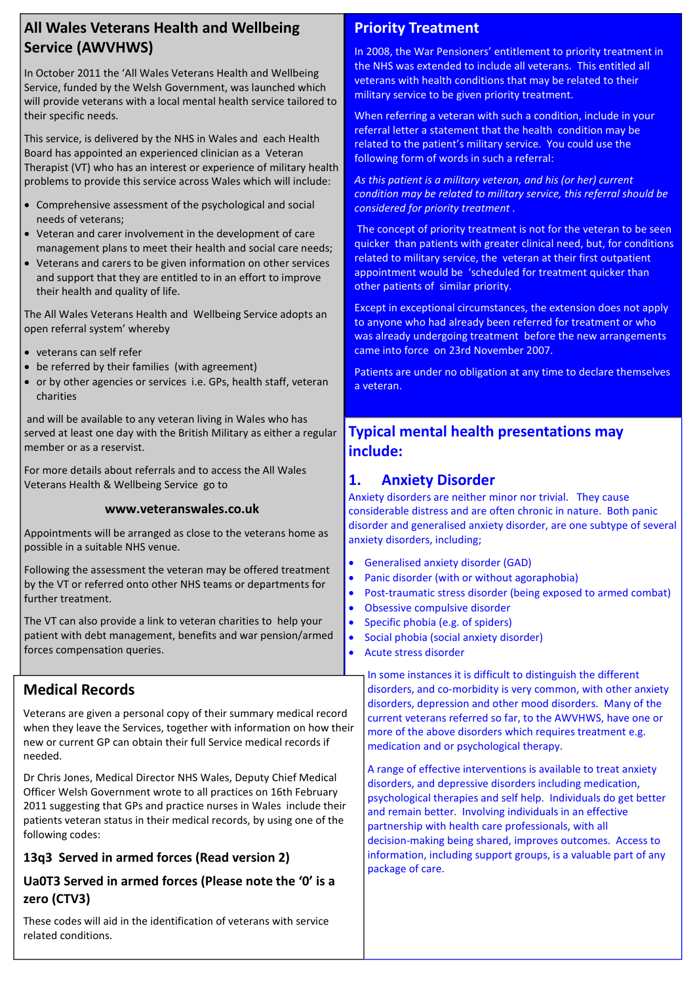# All Wales Veterans Health and Wellbeing Service (AWVHWS)

In October 2011 the 'All Wales Veterans Health and Wellbeing Service, funded by the Welsh Government, was launched which will provide veterans with a local mental health service tailored to their specific needs.

This service, is delivered by the NHS in Wales and each Health Board has appointed an experienced clinician as a Veteran Therapist (VT) who has an interest or experience of military health problems to provide this service across Wales which will include:

- Comprehensive assessment of the psychological and social needs of veterans;
- Veteran and carer involvement in the development of care management plans to meet their health and social care needs;
- Veterans and carers to be given information on other services and support that they are entitled to in an effort to improve their health and quality of life.

The All Wales Veterans Health and Wellbeing Service adopts an open referral system' whereby

- veterans can self refer
- be referred by their families (with agreement)
- or by other agencies or services i.e. GPs, health staff, veteran charities

 and will be available to any veteran living in Wales who has served at least one day with the British Military as either a regular member or as a reservist.

For more details about referrals and to access the All Wales Veterans Health & Wellbeing Service go to

#### www.veteranswales.co.uk

Appointments will be arranged as close to the veterans home as possible in a suitable NHS venue.

Following the assessment the veteran may be offered treatment by the VT or referred onto other NHS teams or departments for further treatment.

The VT can also provide a link to veteran charities to help your patient with debt management, benefits and war pension/armed forces compensation queries.

## Medical Records

Veterans are given a personal copy of their summary medical record when they leave the Services, together with information on how their new or current GP can obtain their full Service medical records if needed.

Dr Chris Jones, Medical Director NHS Wales, Deputy Chief Medical Officer Welsh Government wrote to all practices on 16th February 2011 suggesting that GPs and practice nurses in Wales include their patients veteran status in their medical records, by using one of the following codes:

#### 13q3 Served in armed forces (Read version 2)

#### Ua0T3 Served in armed forces (Please note the '0' is a zero (CTV3)

These codes will aid in the identification of veterans with service related conditions.

# Priority Treatment

In 2008, the War Pensioners' entitlement to priority treatment in the NHS was extended to include all veterans. This entitled all veterans with health conditions that may be related to their military service to be given priority treatment.

When referring a veteran with such a condition, include in your referral letter a statement that the health condition may be related to the patient's military service. You could use the following form of words in such a referral:

As this patient is a military veteran, and his (or her) current condition may be related to military service, this referral should be considered for priority treatment .

 The concept of priority treatment is not for the veteran to be seen quicker than patients with greater clinical need, but, for conditions related to military service, the veteran at their first outpatient appointment would be 'scheduled for treatment quicker than other patients of similar priority.

Except in exceptional circumstances, the extension does not apply to anyone who had already been referred for treatment or who was already undergoing treatment before the new arrangements came into force on 23rd November 2007.

Patients are under no obligation at any time to declare themselves a veteran.

# Typical mental health presentations may include:

# 1. Anxiety Disorder

Anxiety disorders are neither minor nor trivial. They cause considerable distress and are often chronic in nature. Both panic disorder and generalised anxiety disorder, are one subtype of several anxiety disorders, including;

- Generalised anxiety disorder (GAD)
- Panic disorder (with or without agoraphobia)
- Post-traumatic stress disorder (being exposed to armed combat)
- Obsessive compulsive disorder
- Specific phobia (e.g. of spiders)
- Social phobia (social anxiety disorder)
	- Acute stress disorder

In some instances it is difficult to distinguish the different disorders, and co-morbidity is very common, with other anxiety disorders, depression and other mood disorders. Many of the current veterans referred so far, to the AWVHWS, have one or more of the above disorders which requires treatment e.g. medication and or psychological therapy.

A range of effective interventions is available to treat anxiety disorders, and depressive disorders including medication, psychological therapies and self help. Individuals do get better and remain better. Involving individuals in an effective partnership with health care professionals, with all decision-making being shared, improves outcomes. Access to information, including support groups, is a valuable part of any package of care.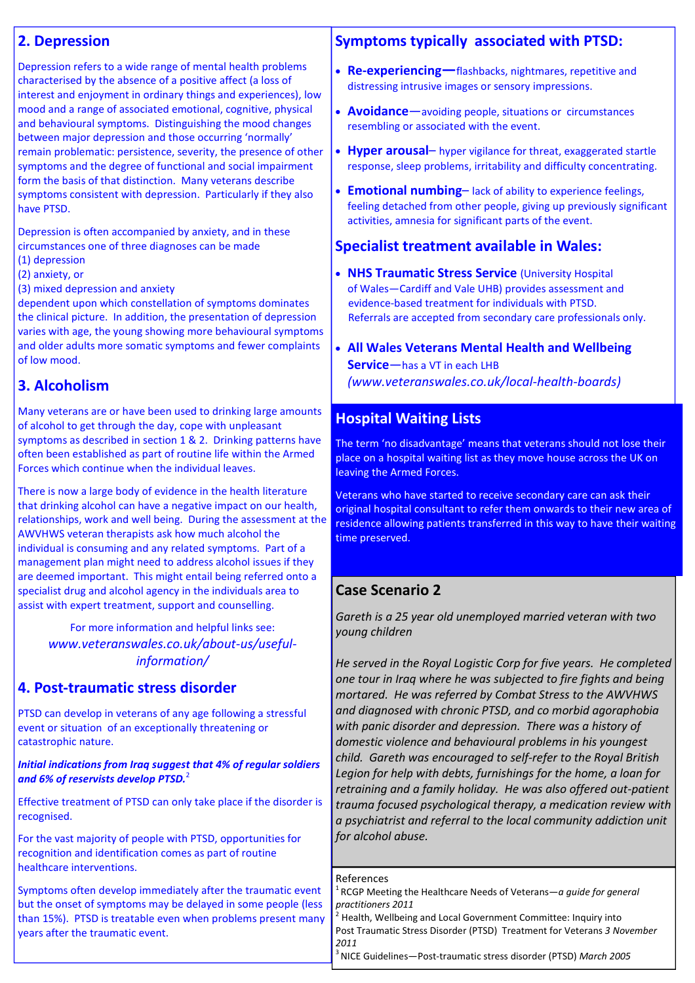#### 2. Depression

Depression refers to a wide range of mental health problems characterised by the absence of a positive affect (a loss of interest and enjoyment in ordinary things and experiences), low mood and a range of associated emotional, cognitive, physical and behavioural symptoms. Distinguishing the mood changes between major depression and those occurring 'normally' remain problematic: persistence, severity, the presence of other symptoms and the degree of functional and social impairment form the basis of that distinction. Many veterans describe symptoms consistent with depression. Particularly if they also have PTSD.

Depression is often accompanied by anxiety, and in these circumstances one of three diagnoses can be made

- (1) depression
- (2) anxiety, or
- (3) mixed depression and anxiety

dependent upon which constellation of symptoms dominates the clinical picture. In addition, the presentation of depression varies with age, the young showing more behavioural symptoms and older adults more somatic symptoms and fewer complaints of low mood.

# 3. Alcoholism

Many veterans are or have been used to drinking large amounts of alcohol to get through the day, cope with unpleasant symptoms as described in section 1 & 2. Drinking patterns have often been established as part of routine life within the Armed Forces which continue when the individual leaves.

There is now a large body of evidence in the health literature that drinking alcohol can have a negative impact on our health, relationships, work and well being. During the assessment at the AWVHWS veteran therapists ask how much alcohol the individual is consuming and any related symptoms. Part of a management plan might need to address alcohol issues if they are deemed important. This might entail being referred onto a specialist drug and alcohol agency in the individuals area to assist with expert treatment, support and counselling.

For more information and helpful links see: www.veteranswales.co.uk/about-us/usefulinformation/

# 4. Post-traumatic stress disorder

PTSD can develop in veterans of any age following a stressful event or situation of an exceptionally threatening or catastrophic nature.

#### Initial indications from Iraq suggest that 4% of regular soldiers and 6% of reservists develop PTSD.<sup>2</sup>

Effective treatment of PTSD can only take place if the disorder is recognised.

For the vast majority of people with PTSD, opportunities for recognition and identification comes as part of routine healthcare interventions.

Symptoms often develop immediately after the traumatic event but the onset of symptoms may be delayed in some people (less than 15%). PTSD is treatable even when problems present many years after the traumatic event.

#### Symptoms typically associated with PTSD:

- Re-experiencing-flashbacks, nightmares, repetitive and distressing intrusive images or sensory impressions.
- **Avoidance**—avoiding people, situations or circumstances resembling or associated with the event.
- Hyper arousal– hyper vigilance for threat, exaggerated startle response, sleep problems, irritability and difficulty concentrating.
- Emotional numbing-lack of ability to experience feelings, feeling detached from other people, giving up previously significant activities, amnesia for significant parts of the event.

#### Specialist treatment available in Wales:

- NHS Traumatic Stress Service (University Hospital of Wales—Cardiff and Vale UHB) provides assessment and evidence-based treatment for individuals with PTSD. Referrals are accepted from secondary care professionals only.
- All Wales Veterans Mental Health and Wellbeing Service—has a VT in each LHB (www.veteranswales.co.uk/local-health-boards)

#### Hospital Waiting Lists

The term 'no disadvantage' means that veterans should not lose their place on a hospital waiting list as they move house across the UK on leaving the Armed Forces.

Veterans who have started to receive secondary care can ask their original hospital consultant to refer them onwards to their new area of residence allowing patients transferred in this way to have their waiting time preserved.

#### Case Scenario 2

Gareth is a 25 year old unemployed married veteran with two young children

He served in the Royal Logistic Corp for five years. He completed one tour in Iraq where he was subjected to fire fights and being mortared. He was referred by Combat Stress to the AWVHWS and diagnosed with chronic PTSD, and co morbid agoraphobia with panic disorder and depression. There was a history of domestic violence and behavioural problems in his youngest child. Gareth was encouraged to self-refer to the Royal British Legion for help with debts, furnishings for the home, a loan for retraining and a family holiday. He was also offered out-patient trauma focused psychological therapy, a medication review with a psychiatrist and referral to the local community addiction unit for alcohol abuse.

#### References

RCGP Meeting the Healthcare Needs of Veterans—a quide for general practitioners 2011

2 Health, Wellbeing and Local Government Committee: Inquiry into Post Traumatic Stress Disorder (PTSD) Treatment for Veterans 3 November 2011

<sup>3</sup> NICE Guidelines-Post-traumatic stress disorder (PTSD) March 2005